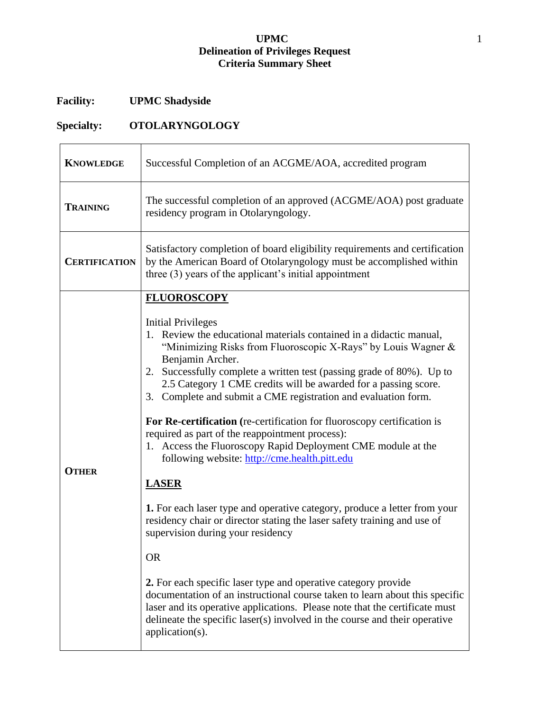## **UPMC** 1 **Delineation of Privileges Request Criteria Summary Sheet**

## **Facility: UPMC Shadyside**

## **Specialty: OTOLARYNGOLOGY**

| <b>KNOWLEDGE</b>     | Successful Completion of an ACGME/AOA, accredited program                                                                                                                                                                                                                                                                                                                                                                                                                                                                                                                                                                                                                                                                                                                                                                                                                                                                                                                                                                                                                                                                                                                                                                                      |
|----------------------|------------------------------------------------------------------------------------------------------------------------------------------------------------------------------------------------------------------------------------------------------------------------------------------------------------------------------------------------------------------------------------------------------------------------------------------------------------------------------------------------------------------------------------------------------------------------------------------------------------------------------------------------------------------------------------------------------------------------------------------------------------------------------------------------------------------------------------------------------------------------------------------------------------------------------------------------------------------------------------------------------------------------------------------------------------------------------------------------------------------------------------------------------------------------------------------------------------------------------------------------|
| <b>TRAINING</b>      | The successful completion of an approved (ACGME/AOA) post graduate<br>residency program in Otolaryngology.                                                                                                                                                                                                                                                                                                                                                                                                                                                                                                                                                                                                                                                                                                                                                                                                                                                                                                                                                                                                                                                                                                                                     |
| <b>CERTIFICATION</b> | Satisfactory completion of board eligibility requirements and certification<br>by the American Board of Otolaryngology must be accomplished within<br>three $(3)$ years of the applicant's initial appointment                                                                                                                                                                                                                                                                                                                                                                                                                                                                                                                                                                                                                                                                                                                                                                                                                                                                                                                                                                                                                                 |
| <b>OTHER</b>         | <b>FLUOROSCOPY</b><br><b>Initial Privileges</b><br>1. Review the educational materials contained in a didactic manual,<br>"Minimizing Risks from Fluoroscopic X-Rays" by Louis Wagner $\&$<br>Benjamin Archer.<br>2. Successfully complete a written test (passing grade of 80%). Up to<br>2.5 Category 1 CME credits will be awarded for a passing score.<br>3. Complete and submit a CME registration and evaluation form.<br>For Re-certification (re-certification for fluoroscopy certification is<br>required as part of the reappointment process):<br>1. Access the Fluoroscopy Rapid Deployment CME module at the<br>following website: http://cme.health.pitt.edu<br><b>LASER</b><br><b>1.</b> For each laser type and operative category, produce a letter from your<br>residency chair or director stating the laser safety training and use of<br>supervision during your residency<br><b>OR</b><br>2. For each specific laser type and operative category provide<br>documentation of an instructional course taken to learn about this specific<br>laser and its operative applications. Please note that the certificate must<br>delineate the specific laser(s) involved in the course and their operative<br>application(s). |